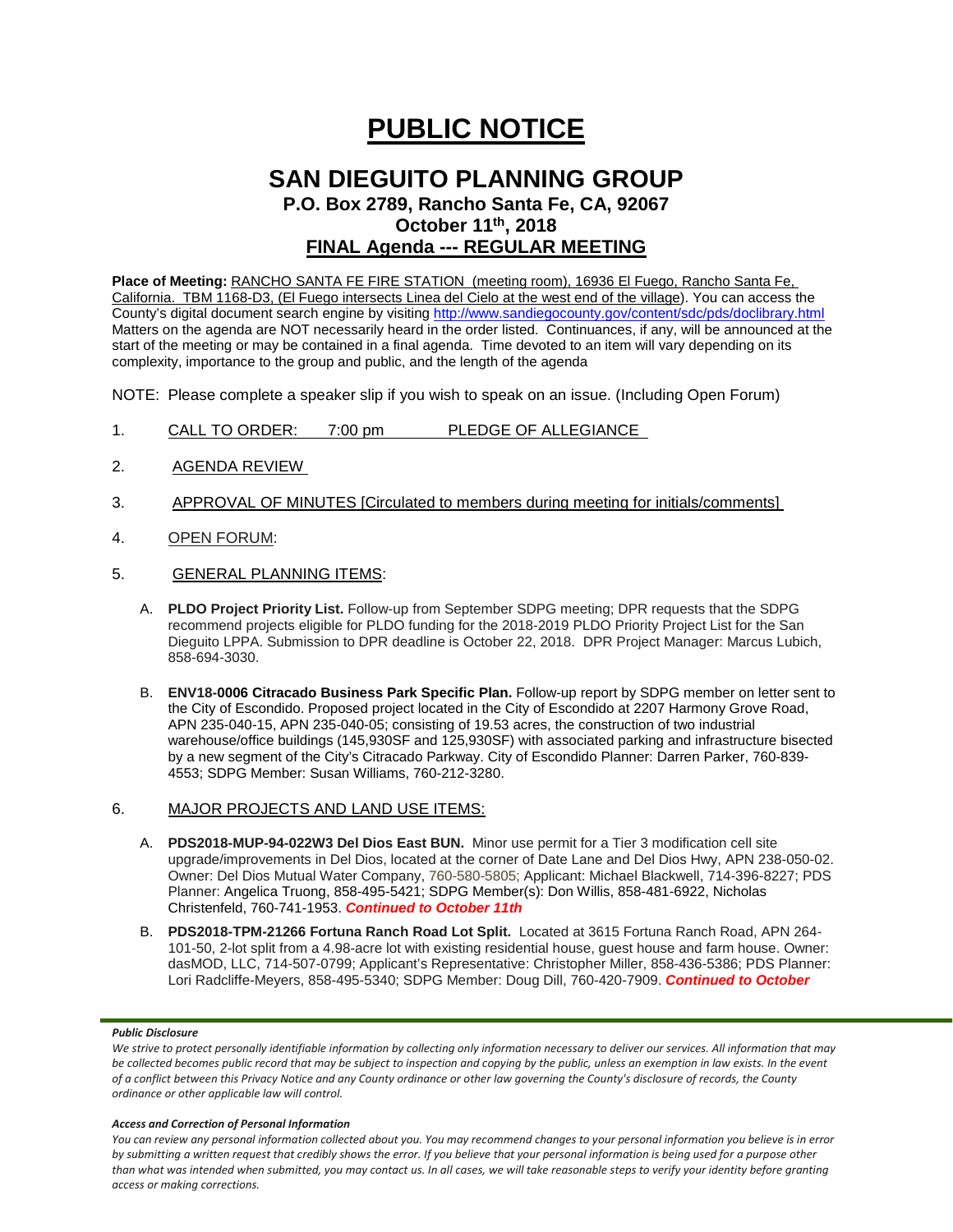# **PUBLIC NOTICE**

## **SAN DIEGUITO PLANNING GROUP**

**P.O. Box 2789, Rancho Santa Fe, CA, 92067 October 11th, 2018**

### **FINAL Agenda --- REGULAR MEETING**

**Place of Meeting:** RANCHO SANTA FE FIRE STATION (meeting room), 16936 El Fuego, Rancho Santa Fe, California. TBM 1168-D3, (El Fuego intersects Linea del Cielo at the west end of the village). You can access the County's digital document search engine by visitin[g http://www.sandiegocounty.gov/content/sdc/pds/doclibrary.html](http://www.sandiegocounty.gov/content/sdc/pds/doclibrary.html) Matters on the agenda are NOT necessarily heard in the order listed. Continuances, if any, will be announced at the start of the meeting or may be contained in a final agenda. Time devoted to an item will vary depending on its complexity, importance to the group and public, and the length of the agenda

NOTE: Please complete a speaker slip if you wish to speak on an issue. (Including Open Forum)

- 1. CALL TO ORDER: 7:00 pm PLEDGE OF ALLEGIANCE
- 2. AGENDA REVIEW
- 3. APPROVAL OF MINUTES [Circulated to members during meeting for initials/comments]
- 4. OPEN FORUM:
- 5. GENERAL PLANNING ITEMS:
	- A. **PLDO Project Priority List.** Follow-up from September SDPG meeting; DPR requests that the SDPG recommend projects eligible for PLDO funding for the 2018-2019 PLDO Priority Project List for the San Dieguito LPPA. Submission to DPR deadline is October 22, 2018. DPR Project Manager: Marcus Lubich, 858-694-3030.
	- B. **ENV18-0006 Citracado Business Park Specific Plan.** Follow-up report by SDPG member on letter sent to the City of Escondido. Proposed project located in the City of Escondido at 2207 Harmony Grove Road, APN 235-040-15, APN 235-040-05; consisting of 19.53 acres, the construction of two industrial warehouse/office buildings (145,930SF and 125,930SF) with associated parking and infrastructure bisected by a new segment of the City's Citracado Parkway. City of Escondido Planner: Darren Parker, 760-839- 4553; SDPG Member: Susan Williams, 760-212-3280.
- 6. MAJOR PROJECTS AND LAND USE ITEMS:
	- A. **PDS2018-MUP-94-022W3 Del Dios East BUN.** Minor use permit for a Tier 3 modification cell site upgrade/improvements in Del Dios, located at the corner of Date Lane and Del Dios Hwy, APN 238-050-02. Owner: Del Dios Mutual Water Company, 760-580-5805; Applicant: Michael Blackwell, 714-396-8227; PDS Planner: Angelica Truong, 858-495-5421; SDPG Member(s): Don Willis, 858-481-6922, Nicholas Christenfeld, 760-741-1953. *Continued to October 11th*
	- B. **PDS2018-TPM-21266 Fortuna Ranch Road Lot Split.** Located at 3615 Fortuna Ranch Road, APN 264- 101-50, 2-lot split from a 4.98-acre lot with existing residential house, guest house and farm house. Owner: dasMOD, LLC, 714-507-0799; Applicant's Representative: Christopher Miller, 858-436-5386; PDS Planner: Lori Radcliffe-Meyers, 858-495-5340; SDPG Member: Doug Dill, 760-420-7909. *Continued to October*

#### *Public Disclosure*

#### *Access and Correction of Personal Information*

*You can review any personal information collected about you. You may recommend changes to your personal information you believe is in error by submitting a written request that credibly shows the error. If you believe that your personal information is being used for a purpose other than what was intended when submitted, you may contact us. In all cases, we will take reasonable steps to verify your identity before granting access or making corrections.*

We strive to protect personally identifiable information by collecting only information necessary to deliver our services. All information that may *be collected becomes public record that may be subject to inspection and copying by the public, unless an exemption in law exists. In the event of a conflict between this Privacy Notice and any County ordinance or other law governing the County's disclosure of records, the County ordinance or other applicable law will control.*